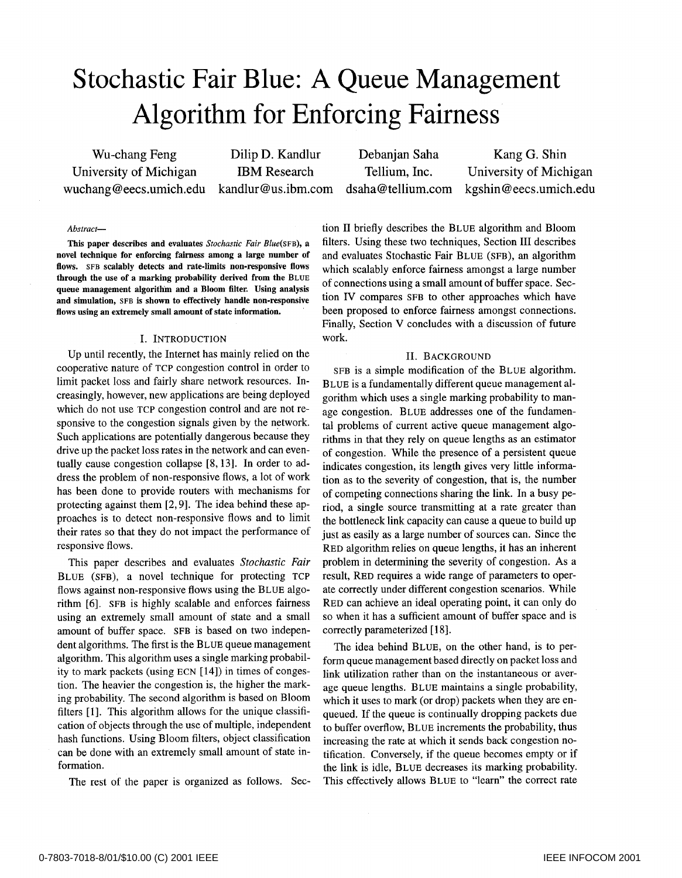# Stochastic Fair Blue: A Queue Management Algorithm for Enforcing Fairness

University of Michigan IBM Research Tellium, Inc. University of Michigan wuchang @eecs.umich.edu kandlur@us.ibm.com dsaha@tellium.com kgshin@eecs.umich. edu

Wu-chang Feng Dilip D. Kandlur Debanjan Saha Kang G. Shin

#### Abstract—

This paper describes and evaluates Stochastic Fair Blue(SFB), a novel technique for enforcing fairness among a large number of flows. SFB scalably detects and rate-limits non-responsive flows through the use of a marking probability derived from the BLUE queue management algorithm and a Bloom filter. Using analysis and simulation, SFB is shown to effectively handle non-responsive flows using an extremely small amount of state information.

## I. INTRODUCTION

Up until recently, the Internet has mainly relied on the cooperative nature of TCP congestion control in order to limit packet loss and fairly share network resources. Increasingly, however, new applications are being deployed which do not use TCP congestion control and are not responsive to the congestion signals given by the network. Such applications are potentially dangerous because they drive up the packet loss rates in the network and can eventually cause congestion collapse [8, 13]. In order to address the problem of non-responsive flows, a lot of work has been done to provide routers with mechanisms for protecting against them [2, 9]. The idea behind these approaches is to detect non-responsive flows and to limit their rates so that they do not impact the performance of responsive flows.

This paper describes and evaluates Stochastic Fair BLUE (SFB), a novel technique for protecting TCP flows against non-responsive flows using the BLUE algorithm [6]. SFB is highly scalable and enforces fairness using an extremely small amount of state and a small amount of buffer space. SFB is based on two independent algorithms. The first is the BLUE queue management algorithm. This algorithm uses a single marking probability to mark packets (using ECN [14]) in times of congestion. The heavier the congestion is, the higher the marking probability. The second algorithm is based on Bloom filters [1]. This algorithm allows for the unique classification of objects through the use of multiple, independent hash functions. Using Bloom filters, object classification can be done with an extremely small amount of state information.

The rest of the paper is organized as follows. Sec-

tion II briefly describes the BLUE algorithm and Bloom filters. Using these two techniques, Section III describes and evaluates Stochastic Fair BLUE (SFB), an algorithm which scalably enforce fairness amongst a large number of connections using a small amount of buffer space. Section IV compares SFB to other approaches which have been proposed to enforce fairness amongst connections. Finally, Section V concludes with a discussion of future work.

#### II. BACKGROUND

SFB is a simple modification of the BLUE algorithm. BLUE is a fundamentally different queue management algorithm which uses a single marking probability to manage congestion. BLUE addresses one of the fundamental problems of current active queue management algorithms in that they rely on queue lengths as an estimator of congestion. While the presence of a persistent queue indicates congestion, its length gives very little information as to the severity of congestion, that is, the number of competing connections sharing the link. In a busy period, a single source transmitting at a rate greater than the bottleneck link capacity can cause a queue to build up just as easily as a large number of sources can. Since the RED algorithm relies on queue lengths, it has an inherent problem in determining the severity of congestion. As a result, RED requires a wide range of parameters to operate correctly under different congestion scenarios. While RED can achieve an ideal operating point, it can only do so when it has a sufficient amount of buffer space and is correctly parameterized [18].

The idea behind BLUE, on the other hand, is to perform queue management based directly on packet loss and link utilization rather than on the instantaneous or average queue lengths. BLUE maintains a single probability, which it uses to mark (or drop) packets when they are enqueued. If the queue is continually dropping packets due to buffer overflow, BLUE increments the probability, thus increasing the rate at which it sends back congestion notification. Conversely, if the queue becomes empty or if the link is idle, BLUE decreases its marking probability. This effectively allows BLUE to "learn" the correct rate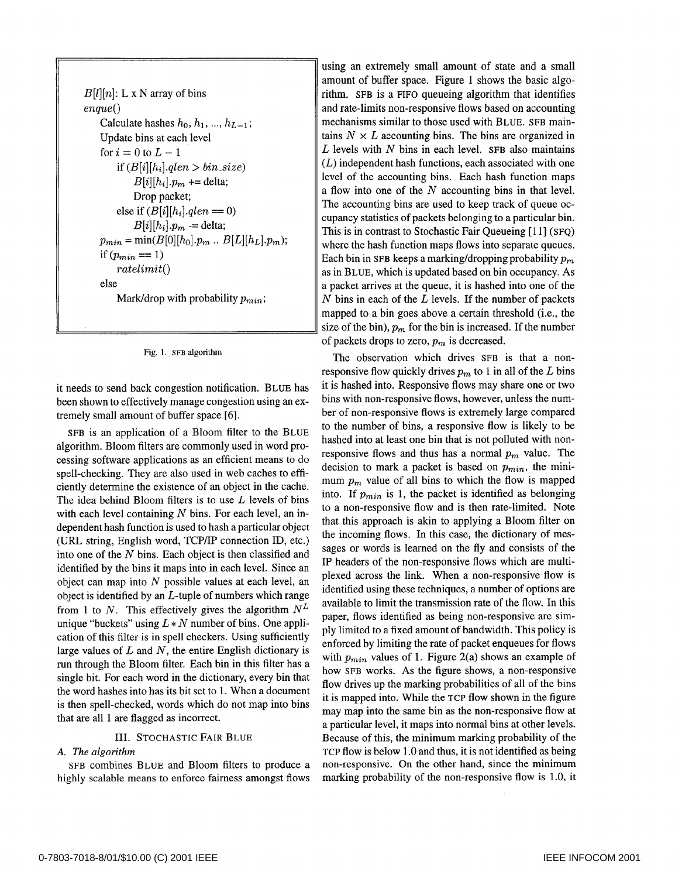| B[l][n]: L x N array of bins                 |
|----------------------------------------------|
| enque()                                      |
| Calculate hashes $h_0, h_1, , h_{L-1}$ ;     |
| Update bins at each level                    |
| for $i = 0$ to $L - 1$                       |
| if $(B[i][h_i].qlen > bin\_size)$            |
| $B[i][h_i]$ . $p_m$ += delta;                |
| Drop packet;                                 |
| else if $(B[i][h_i].qlen == 0)$              |
| $B[i][h_i].p_m = delta;$                     |
| $p_{min} = min(B[0][h_0].p_mB[L][h_L].p_m);$ |
| if $(p_{min} == 1)$                          |
| rate limit()                                 |
| else                                         |
| Mark/drop with probability $p_{min}$ ;       |

Fig. 1. SFB algorithm

it needs to send back congestion notification. BLUE has been shown to effectively manage congestion using an extremely small amount of buffer space [6].

SFB is an application of a Bloom filter to the BLUE algorithm. Bloom filters are commonly used in word processing software applications as an efficient means to do spell-checking. They are also used in web caches to efficiently determine the existence of an object in the cache. The idea behind Bloom filters is to use  $L$  levels of bins with each level containing  $N$  bins. For each level, an independent hash function is used to hash a particular object (URL string, English word, TCP/lP connection ID, etc.) into one of the  $N$  bins. Each object is then classified and identified by the bins it maps into in each level. Since an object can map into  $N$  possible values at each level, an object is identified by an L-tuple of numbers which range from 1 to N. This effectively gives the algorithm  $N^L$ unique "buckets" using  $L*N$  number of bins. One application of this filter is in spell checkers. Using sufficiently large values of  $L$  and  $N$ , the entire English dictionary is run through the Bloom filter. Each bin in this filter has a single bit. For each word in the dictionary, every bin that the word hashes into has its bit set to 1. When a document is then spell-checked, words which do not map into bins that are all 1 are flagged as incorrect.

# III. STOCHASTIC FAIR BLUE

#### A. The algorithm

SFB combines BLUE and Bloom filters to produce a highly scalable means to enforce fairness amongst flows

using an extremely small amount of state and a small amount of buffer space. Figure 1 shows the basic algorithm. SFB is a FIFO queueing algorithm that identifies and rate-limits non-responsive flows based on accounting mechanisms similar to those used with BLUE. SFB maintains  $N \times L$  accounting bins. The bins are organized in  $L$  levels with  $N$  bins in each level. SFB also maintains  $(L)$  independent hash functions, each associated with one level of the accounting bins. Each hash function maps a flow into one of the  $N$  accounting bins in that level. The accounting bins are used to keep track of queue occupancy statistics of packets belonging to a particular bin. This is in contrast to Stochastic Fair Queueing [11] (SFO) where the hash function maps flows into separate queues. Each bin in SFB keeps a marking/dropping probability  $p_m$ as in BLUE, which is updated based on bin occupancy. As a packet arrives at the queue, it is hashed into one of the  $N$  bins in each of the  $L$  levels. If the number of packets mapped to a bin goes above a certain threshold (i.e., the size of the bin),  $p_m$  for the bin is increased. If the number of packets drops to zero,  $p_m$  is decreased.

The observation which drives SFB is that a nonresponsive flow quickly drives  $p_m$  to 1 in all of the L bins it is hashed into. Responsive flows may share one or two bins with non-responsive flows, however, unless the number of non-responsive flows is extremely large compared to the number of bins, a responsive flow is likely to be hashed into at least one bin that is not polluted with nonresponsive flows and thus has a normal  $p_m$  value. The decision to mark a packet is based on  $p_{min}$ , the minimum  $p_m$  value of all bins to which the flow is mapped into. If  $p_{min}$  is 1, the packet is identified as belonging to a non-responsive flow and is then rate-limited. Note that this approach is akin to applying a Bloom filter on the incoming flows. In this case, the dictionary of messages or words is learned on the fly and consists of the 1P headers of the non-responsive flows which are multiplexed across the link. When a non-responsive flow is identified using these techniques, a number of options are available to limit the transmission rate of the flow. In this paper, flows identified as being non-responsive are simply limited to a fixed amount of bandwidth. This policy is enforced by limiting the rate of packet enqueues for flows with  $p_{min}$  values of 1. Figure 2(a) shows an example of how SFB works. As the figure shows, a non-responsive flow drives up the marking probabilities of all of the bins it is mapped into. While the TCP flow shown in the figure may map into the same bin as the non-responsive flow at a particular level, it maps into normal bins at other levels. Because of this, the minimum marking probability of the TCP flow is below 1.0 and thus, it is not identified as being non-responsive. On the other hand, since the minimum marking probability of the non-responsive flow is 1.0, it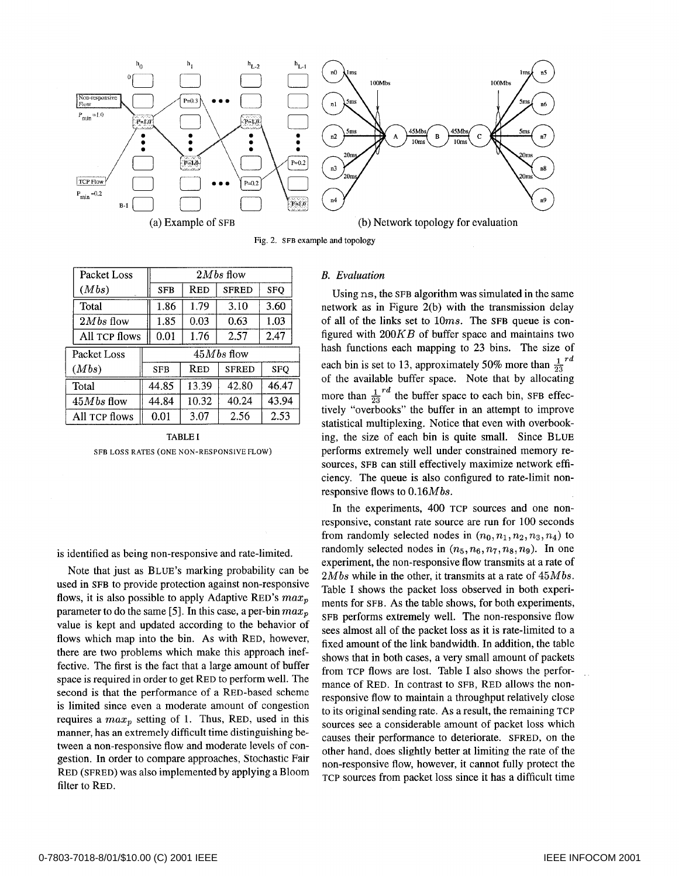

Fig. 2. SFB example and topology

| Packet Loss   |            | $2Mbs$ flow  |              |            |  |  |
|---------------|------------|--------------|--------------|------------|--|--|
| (Mbs)         | <b>SFB</b> | <b>RED</b>   | <b>SFRED</b> | <b>SFQ</b> |  |  |
| Total         | 1.86       | 1.79         | 3.10         | 3.60       |  |  |
| $2Mbs$ flow   | 1.85       | 0.03         | 0.63         | 1.03       |  |  |
| All TCP flows | 0.01       | 1.76         | 2.57         | 2.47       |  |  |
| Packet Loss   |            | $45Mbs$ flow |              |            |  |  |
| (Mbs)         | <b>SFB</b> | <b>RED</b>   | <b>SFRED</b> | <b>SFO</b> |  |  |
| Total         | 44.85      | 13.39        | 42.80        | 46.47      |  |  |
| $45Mbs$ flow  | 44.84      | 10.32        | 40.24        | 43.94      |  |  |
| All TCP flows | 0.01       | 3.07         | 2.56         | 2.53       |  |  |

TABLE I SFB LOSS RATES (ONE NON-RESPONSIVE FLOW)

is identified as being non-responsive and rate-limited.

Note that just as BLUE'S marking probability can be used in SFB to provide protection against non-responsive flows, it is also possible to apply Adaptive RED's  $max_p$ parameter to do the same [5]. In this case, a per-bin  $max_{p}$ value is kept and updated according to the behavior of flows which map into the bin. As with RED, however, there are two problems which make this approach ineffective. The first is the fact that a large amount of buffer space is required in order to get RED to perform well. The second is that the performance of a RED-based scheme is limited since even a moderate amount of congestion requires a  $max_p$  setting of 1. Thus, RED, used in this manner, has an extremely difficult time distinguishing between a non-responsive flow and moderate levels of congestion. In order to compare approaches, Stochastic Fair RED (SFRED) was also implemented by applying a Bloom filter to RED.

# B. Evaluation

Using ns, the SFB algorithm was simulated in the same network as in Figure 2(b) with the transmission delay of all of the links set to 10ms. The SFB queue is configured with  $200KB$  of buffer space and maintains two hash functions each mapping to 23 bins. The size of each bin is set to 13, approximately 50% more than  $\frac{1}{23}^r$ of the available buffer space. Note that by allocating more than  $\frac{1}{23}$ <sup>rd</sup> the buffer space to each bin, SFB effec tively "overbooks" the buffer in an attempt to improve statistical multiplexing. Notice that even with overbooking, the size of each bin is quite small. Since BLUE performs extremely well under constrained memory resources, SFB can still effectively maximize network efficiency. The queue is also configured to rate-limit nonresponsive flows to 0.16Mbs.

In the experiments, 400 TCP sources and one nonresponsive, constant rate source are run for 100 seconds from randomly selected nodes in  $(n_0, n_1, n_2, n_3, n_4)$  to randomly selected nodes in  $(n_5, n_6, n_7, n_8, n_9)$ . In one experiment, the non-responsive flow transmits at a rate of  $2Mbs$  while in the other, it transmits at a rate of  $45Mbs$ . Table I shows the packet loss observed in both experiments for SFB. As the table shows, for both experiments, SFB performs extremely well. The non-responsive flow sees almost all of the packet loss as it is rate-limited to a fixed amount of the link bandwidth. In addition, the table shows that in both cases, a very small amount of packets from TCP flows are lost. Table I also shows the performance of RED. In contrast to SFB, RED allows the nonresponsive flow to maintain a throughput relatively close to its original sending rate. As a result, the remaining TCP sources see a considerable amount of packet loss which causes their performance to deteriorate. SFRED, on the other hand, does slightly better at limiting the rate of the non-responsive flow, however, it cannot fully protect the TCP sources from packet loss since it has a difficult time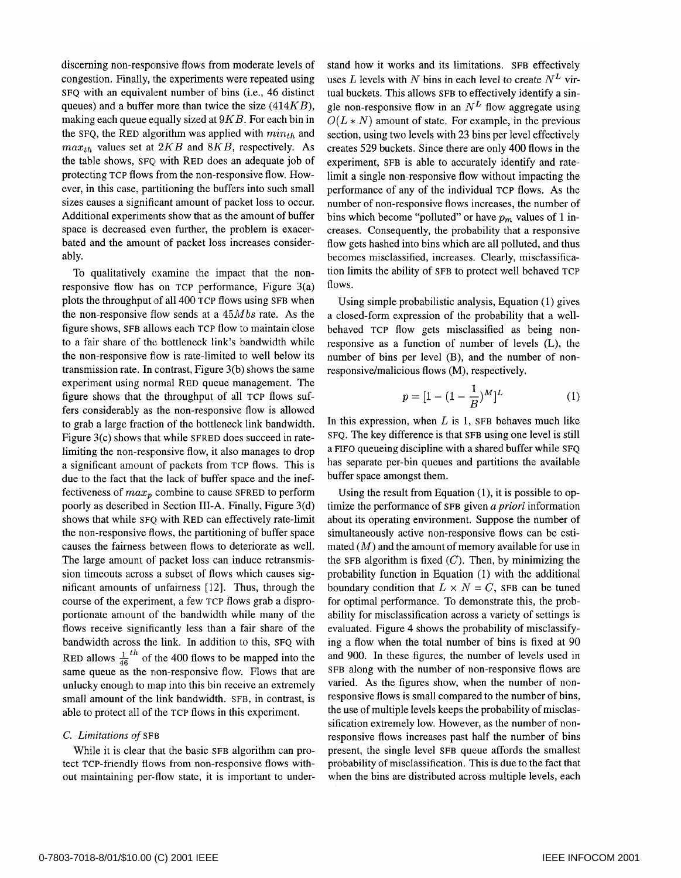discerning non-responsive flows from moderate levels of congestion. Finally, the experiments were repeated using SFQ with an equivalent number of bins (i.e., 46 distinct queues) and a buffer more than twice the size  $(414KB)$ , making each queue equally sized at  $9KB$ . For each bin in the SFQ, the RED algorithm was applied with  $min_{th}$  and  $max_{th}$  values set at  $2KB$  and  $8KB$ , respectively. As the table shows, SFQ with RED does an adequate job of protecting TCP flows from the non-responsive flow. However, in this case, partitioning the buffers into such small sizes causes a significant amount of packet loss to occur. Additional experiments show that as the amount of buffer space is decreased even further, the problem is exacerbated and the amount of packet loss increases considerably.

To qualitatively examine the impact that the nonresponsive flow has on TCP performance, Figure 3(a) plots the throughput of all 400 TCP flows using SFB when the non-responsive flow sends at a  $45Mbs$  rate. As the figure shows, SFB allows each TCP flow to maintain close to a fair share of the bottleneck link's bandwidth while the non-responsive flow is rate-limited to well below its transmission rate, In contrast, Figure 3(b) shows the same experiment using normal RED queue management. The figure shows that the throughput of all TCP flows suffers considerably as the non-responsive flow is allowed to grab a large fraction of the bottleneck link bandwidth. Figure 3(c) shows that while SFRED does succeed in ratelimiting the non-responsive flow, it also manages to drop a significant amount of packets from TCP flows. This is due to the fact that the lack of buffer space and the ineffectiveness of  $max_p$  combine to cause SFRED to perform poorly as described in Section III-A. Finally, Figure 3(d) shows that while SFQ with RED can effectively rate-limit the non-responsive flows, the partitioning of buffer space causes the fairness between flows to deteriorate as well. The large amount of packet loss can induce retransmission timeouts across a subset of flows which causes significant amounts of unfairness [12]. Thus, through the course of the experiment, a few TCP flows grab a disproportionate amount of the bandwidth while many of the flows receive significantly less than a fair share of the bandwidth across the link. In addition to this, SFQ with RED allows  $\frac{1}{46}$  the 400 flows to be mapped into the same queue as the non-responsive flow. Flows that are unlucky enough to map into this bin receive an extremely small amount of the link bandwidth. SFB, in contrast, is able to protect all of the TCP flows in this experiment.

## C. Limitations of SFB

While it is clear that the basic SFB algorithm can protect TCP-friendly flows from non-responsive flows without maintaining per-flow state, it is important to understand how it works and its limitations. SFB effectively uses L levels with N bins in each level to create  $N^L$  virtual buckets. This allows SFB to effectively identify a single non-responsive flow in an  $N^L$  flow aggregate using  $O(L*N)$  amount of state. For example, in the previous section, using two levels with 23 bins per level effectively creates 529 buckets. Since there are only 400 flows in the experiment, SFB is able to accurately identify and ratelimit a single non-responsive flow without impacting the performance of any of the individual TCP flows, As the number of non-responsive flows increases, the number of bins which become "polluted" or have  $p_m$  values of 1 increases. Consequently, the probability that a responsive flow gets hashed into bins which are all polluted, and thus becomes misclassified, increases. Clearly, misclassification limits the ability of SFB to protect well behaved TCP flows.

Using simple probabilistic analysis, Equation (1) gives a closed-form expression of the probability that a wellbehaved TCP flow gets misclassified as being nonresponsive as a function of number of levels (L), the number of bins per level (B), and the number of nonresponsive/malicious flows (M), respectively.

$$
p = [1 - (1 - \frac{1}{B})^M]^L
$$
 (1)

In this expression, when  $L$  is 1, SFB behaves much like SFQ. The key difference is that SFB using one level is still a FIFO queueing discipline with a shared buffer while SFQ has separate per-bin queues and partitions the available buffer space amongst them.

Using the result from Equation  $(1)$ , it is possible to optimize the performance of SFB given a priori information about its operating environment, Suppose the number of simultaneously active non-responsive flows can be estimated  $(M)$  and the amount of memory available for use in the SFB algorithm is fixed  $(C)$ . Then, by minimizing the probability function in Equation (1) with the additional boundary condition that  $L \times N = C$ , SFB can be tuned for optimal performance. To demonstrate this, the probability for misclassification across a variety of settings is evaluated. Figure 4 shows the probability of misclassifying a flow when the total number of bins is fixed at 90 and 900. In these figures, the number of levels used in SFB along with the number of non-responsive flows are varied. As the figures show, when the number of nonresponsive flows is small compared to the number of bins, the use of multiple levels keeps the probability of misclassification extremely low. However, as the number of nonresponsive flows increases past half the number of bins present, the single level SFB queue affords the smallest probability of misclassification. This is due to the fact that when the bins are distributed across multiple levels, each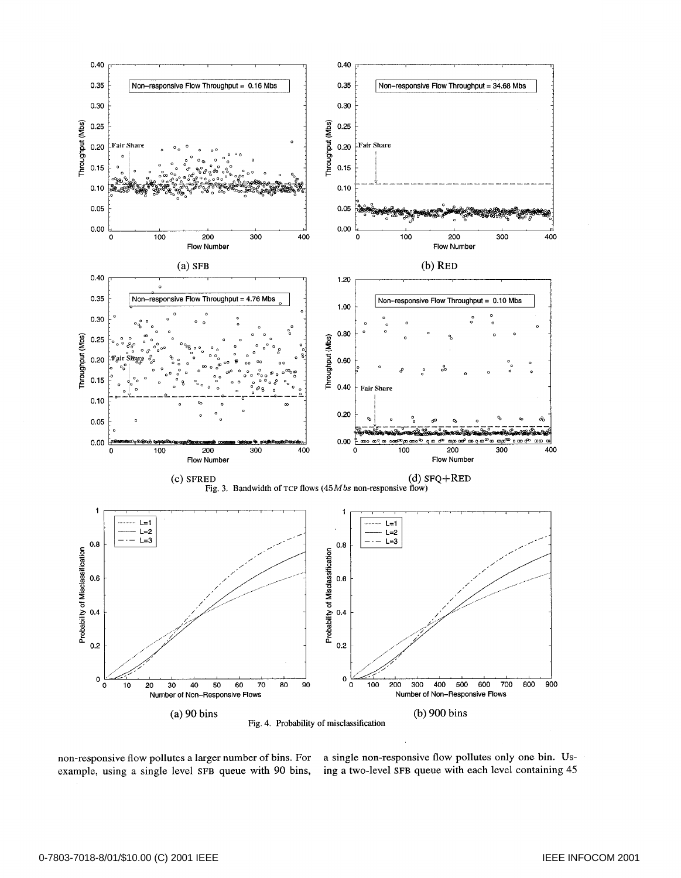

example, using a single level SFB queue with 90 bins, ing a two-level SFB queue with each level containing 45

non-responsive flow pollutes a larger number of bins. For a single non-responsive flow pollutes only one bin. Us-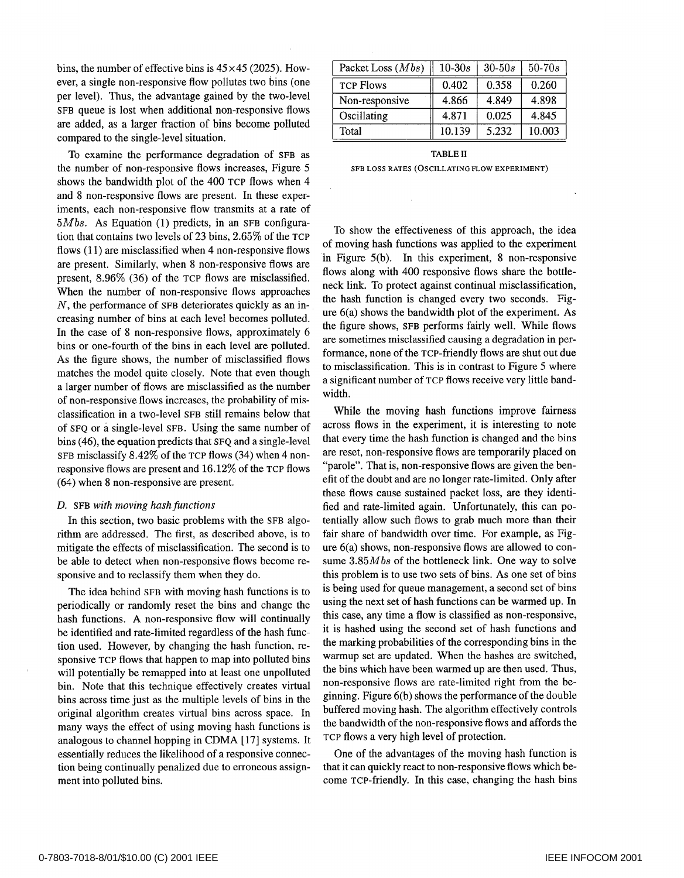bins, the number of effective bins is  $45 \times 45$  (2025). However, a single non-responsive flow pollutes two bins (one per level). Thus, the advantage gained by the two-level SFB queue is lost when additional non-responsive flows are added, as a larger fraction of bins become polluted compared to the single-level situation.

To examine the performance degradation of SFB as the number of non-responsive flows increases, Figure 5 shows the bandwidth plot of the 400 TCP flows when 4 and 8 non-responsive flows are present. In these experiments, each non-responsive flow transmits at a rate of  $5Mbs$ . As Equation (1) predicts, in an SFB configuration that contains two levels of 23 bins, 2.65% of the TCP flows (11) are misclassified when 4 non-responsive flows are present, Similarly, when 8 non-responsive flows are present, 8.96% (36) of the TCP flows are misclassified. When the number of non-responsive flows approaches N, the performance of SFB deteriorates quickly as an increasing number of bins at each level becomes polluted. In the case of 8 non-responsive flows, approximately 6 bins or one-fourth of the bins in each level are polluted. As the figure shows, the number of misclassified flows matches the model quite closely. Note that even though a larger number of flows are misclassified as the number of non-responsive flows increases, the probability of misclassification in a two-level SFB still remains below that of SFQ or a single-level SFB. Using the same number of bins (46), the equation predicts that SFQ and a single-level SFB misclassify  $8.42\%$  of the TCP flows (34) when 4 nonresponsive flows are present and  $16.12\%$  of the TCP flows (64) when 8 non-responsive are present.

## D. SFB with moving hash finctions

In this section, two basic problems with the SFB algorithm are addressed. The first, as described above, is to mitigate the effects of misclassification. The second is to be able to detect when non-responsive flows become responsive and to reclassify them when they do.

The idea behind SFB with moving hash functions is to periodically or randomly reset the bins and change the hash functions. A non-responsive flow will continually be identified and rate-limited regardless of the hash function used. However, by changing the hash function, responsive TCP flows that happen to map into polluted bins will potentially be remapped into at least one unpolluted bin. Note that this technique effectively creates virtual bins across time just as the multiple levels of bins in the original algorithm creates virtual bins across space. In many ways the effect of using moving hash functions is analogous to channel hopping in CDMA [17] systems. It essentially reduces the likelihood of a responsive connection being continually penalized due to erroneous assignment into polluted bins.

| Packet Loss $(Mbs)$ | $10 - 30s$ | $30 - 50s$ | $50 - 70s$ |
|---------------------|------------|------------|------------|
| <b>TCP Flows</b>    | 0.402      | 0.358      | 0.260      |
| Non-responsive      | 4.866      | 4.849      | 4.898      |
| Oscillating         | 4.871      | 0.025      | 4.845      |
| Total               | 10.139     | 5.232      | 10.003     |

TABLE 11 SFB LOSS RATES (OSCILLATING FLOW EXPERIMENT)

To show the effectiveness of this approach, the idea of moving hash functions was applied to the experiment in Figure 5(b). In this experiment, 8 non-responsive flows along with 400 responsive flows share the bottleneck link. To protect against continual misclassification, the hash function is changed every two seconds. Figure 6(a) shows the bandwidth plot of the experiment. As the figure shows, SFB performs fairly well. While flows are sometimes misclassified causing a degradation in performance, none of the TcP-friendly flows are shut out due to misclassification. This is in contrast to Figure 5 where a significant number of TCP flows receive very little bandwidth.

While the moving hash functions improve fairness across flows in the experiment, it is interesting to note that every time the hash function is changed and the bins are reset, non-responsive flows are temporarily placed on "parole". That is, non-responsive flows are given the benefit of the doubt and are no longer rate-limited. Only after these flows cause sustained packet loss, are they identified and rate-limited again. Unfortunately, this can potentially allow such flows to grab much more than their fair share of bandwidth over time. For example, as Figure 6(a) shows, non-responsive flows are allowed to consume 3.85Mbs of the bottleneck link. One way to solve this problem is to use two sets of bins. As one set of bins is being used for queue management, a second set of bins using the next set of hash functions can be warmed up. In this case, any time a tlow is classified as non-responsive, it is hashed using the second set of hash functions and the marking probabilities of the corresponding bins in the warmup set are updated. When the hashes are switched, the bins which have been warmed up are then used. Thus, non-responsive flows are rate-limited right from the beginning. Figure 6(b) shows the performance of the double buffered moving hash. The algorithm effectively controls the bandwidth of the non-responsive flows and affords the TCP flows a very high level of protection.

One of the advantages of the moving hash function is that it can quickly react to non-responsive flows which become TcP-friendly. In this case, changing the hash bins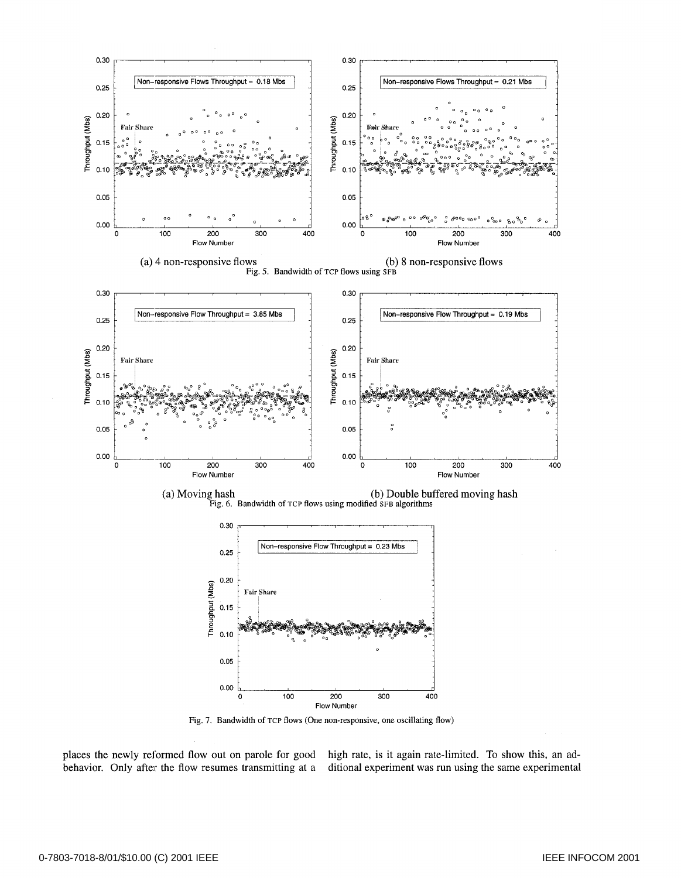



 $0.00 \frac{1}{0}$ 

 $0.10$ 

0.05

o 100 200 300 400

0.00 **C**<br>0.00 **C**<br>0 100 200 300 400

 $0.10$ 

0.05

Fig. 7, Bandwidth of TCP flows (One non-responsive, one oscillating flow)

places the newly reformed flow out on parole for good high rate, is it again rate-limited. To show this, an adbehavior. Only after the flow resumes transmitting at a ditional experiment was run using the same experimental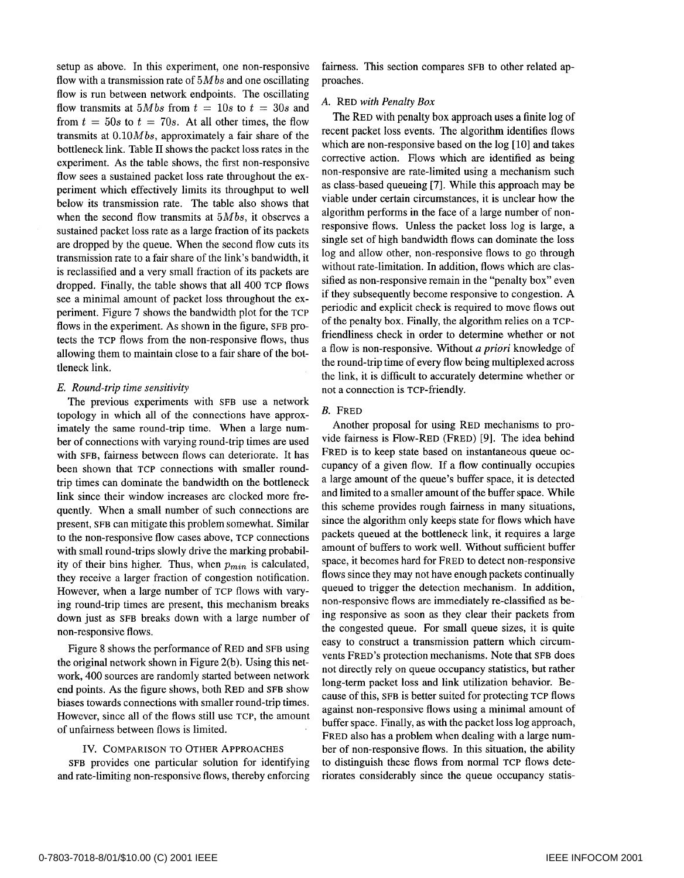setup as above. In this experiment, one non-responsive flow with a transmission rate of  $5Mbs$  and one oscillating flow is run between network endpoints. The oscillating flow transmits at  $5Mbs$  from  $t = 10s$  to  $t = 30s$  and from  $t = 50s$  to  $t = 70s$ . At all other times, the flow transmits at  $0.10Mbs$ , approximately a fair share of the bottleneck link. Table II shows the packet loss rates in the experiment. As the table shows, the first non-responsive flow sees a sustained packet loss rate throughout the experiment which effectively limits its throughput to well below its transmission rate. The table also shows that when the second flow transmits at  $5Mbs$ , it observes a sustained packet loss rate as a large fraction of its packets are dropped by the queue. When the second flow cuts its transmission rate to a fair share of the link's bandwidth, it is reclassified and a very small fraction of its packets are dropped. Finally, the table shows that all 400 TCP flows see a minimal amount of packet loss throughout the experiment. Figure 7 shows the bandwidth plot for the TCP flows in the experiment. As shown in the figure, SFB protects the TCP flows from the non-responsive flows, thus allowing them to maintain close to a fair share of the bottleneck link.

# E. Round-trip time sensitivity

The previous experiments with SFB use a network topology in which all of the connections have approximately the same round-trip time. When a large number of connections with varying round-trip times are used with SFB, fairness between flows can deteriorate. It has been shown that TCP connections with smaller roundtrip times can dominate the bandwidth on the bottleneck link since their window increases are clocked more frequently. When a small number of such connections are present, SFB can mitigate this problem somewhat. Similar to the non-responsive flow cases above, TCP connections with small round-trips slowly drive the marking probability of their bins higher. Thus, when  $p_{min}$  is calculated, they receive a larger fraction of congestion notification. However, when a large number of TCP flows with varying round-trip times are present, this mechanism breaks down just as SFB breaks down with a large number of non-responsive flows.

Figure 8 shows the performance of RED and SFB using the original network shown in Figure 2(b). Using this network, 400 sources are randomly started between network end points. As the figure shows, both RED and SFB show biases towards connections with smaller round-trip times. However, since all of the flows still use TCP, the amount of unfairness between flows is limited.

#### IV. COMPARISON TO OTHER APPROACHES

SFB provides one particular solution for identifying and rate-limiting non-responsive flows, thereby enforcing fairness. This section compares SFB to other related approaches.

# A. RED with Penalty Box

The RED with penalty box approach uses a finite log of recent packet loss events. The algorithm identifies flows which are non-responsive based on the log [10] and takes corrective action. Flows which are identified as being non-responsive are rate-limited using a mechanism such as class-based queueing [7]. While this approach may be viable under certain circumstances, it is unclear how the algorithm performs in the face of a large number of nonresponsive flows. Unless the packet loss log is large, a single set of high bandwidth flows can dominate the loss log and allow other, non-responsive flows to go through without rate-limitation. In addition, flows which are classified as non-responsive remain in the "penalty box" even if they subsequently become responsive to congestion. A periodic and explicit check is required to move flows out of the penalty box. Finally, the algorithm relies on a TCPfriendliness check in order to determine whether or not a flow is non-responsive. Without a priori knowledge of the round-trip time of every flow being multiplexed across the link, it is difficult to accurately determine whether or not a connection is TcP-friendly.

## B. FRED

Another proposal for using RED mechanisms to provide fairness is F1OW-RED (FRED) [9]. The idea behind FRED is to keep state based on instantaneous queue occupancy of a given flow. If a flow continually occupies a large amount of the queue's buffer space, it is detected and limited to a smaller amount of the buffer space. While this scheme provides rough fairness in many situations, since the algorithm only keeps state for flows which have packets queued at the bottleneck link, it requires a large amount of buffers to work well. Without sufficient buffer space, it becomes hard for FRED to detect non-responsive flows since they may not have enough packets continually queued to trigger the detection mechanism. In addition, non-responsive flows are immediately re-classified as being responsive as soon as they clear their packets from the congested queue. For small queue sizes, it is quite easy to construct a transmission pattern which circumvents FRED's protection mechanisms. Note that SFB does not directly rely on queue occupancy statistics, but rather long-term packet loss and link utilization behavior. Because of this, SFB is better suited for protecting TCP flows against non-responsive flows using a minimal amount of buffer space. Finally, as with the packet loss log approach, FRED also has a problem when dealing with a large number of non-responsive flows. In this situation, the ability to distinguish these flows from normal TCP flows deteriorates considerably since the queue occupancy statis-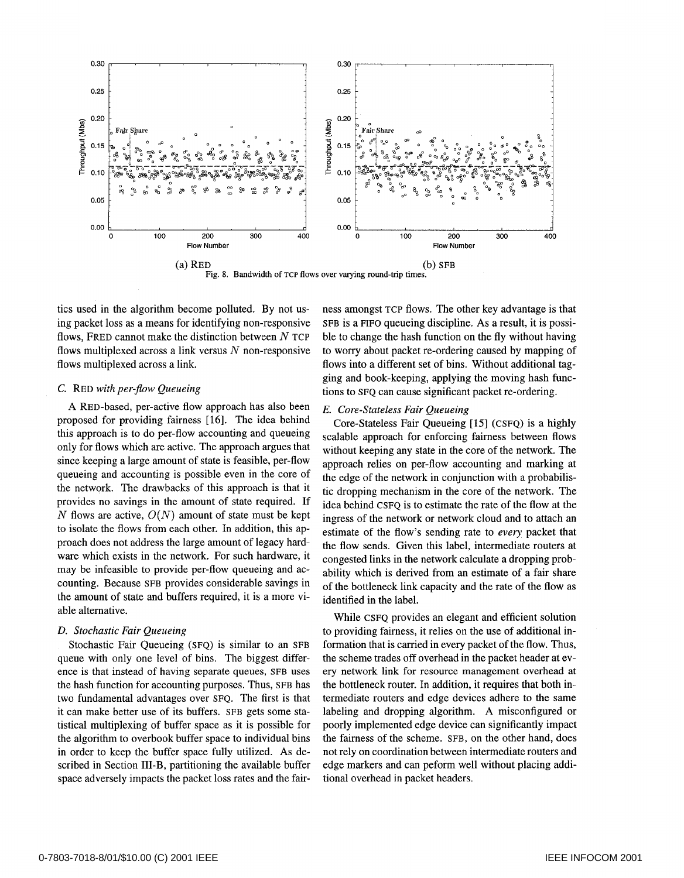

Fig. 8. Bandwidth of TCP flows over varying round-trip times.

tics used in the algorithm become polluted. By not using packet loss as a means for identifying non-responsive flows, FRED cannot make the distinction between  $N$  TCP flows multiplexed across a link versus  $N$  non-responsive flows multiplexed across a link.

# C. RED with per-flow Queueing

A RED-based, per-active flow approach has also been proposed for providing fairness [16]. The idea behind this approach is to do per-flow accounting and queueing only for flows which are active. The approach argues that since keeping a large amount of state is feasible, per-flow queueing and accounting is possible even in the core of the network. The drawbacks of this approach is that it provides no savings in the amount of state required. If N flows are active,  $O(N)$  amount of state must be kept to isolate the flows from each other. In addition, this approach does not address the large amount of legacy hardware which exists in the network. For such hardware, it may be infeasible to provide per-flow queueing and accounting. Because SFB provides considerable savings in the amount of state and buffers required, it is a more viable alternative.

## D. Stochastic Fair Queueing

Stochastic Fair Queueing (SFQ) is similar to an SFB queue with only one level of bins. The biggest difference is that instead of having separate queues, SFB uses the hash function for accounting purposes. Thus, SFB has two fundamental advantages over SFQ. The first is that it can make better use of its buffers. SFB gets some statistical multiplexing of buffer space as it is possible for the algorithm to overbook buffer space to individual bins in order to keep the buffer space fully utilized. As described in Section III-B, partitioning the available buffer space adversely impacts the packet loss rates and the fairness amongst TCP flows. The other key advantage is that SFB is a FIFO queueing discipline. As a result, it is possible to change the hash function on the fly without having to worry about packet re-ordering caused by mapping of flows into a different set of bins. Without additional tagging and book-keeping, applying the moving hash functions to SFQ can cause significant packet re-ordering.

### E. Core-Stateless Fair Queueing

Core-Stateless Fair Queueing [15] (CSFQ) is a highly scalable approach for enforcing fairness between flows without keeping any state in the core of the network. The approach relies on per-flow accounting and marking at the edge of the network in conjunction with a probabilistic dropping mechanism in the core of the network. The idea behind CSFQ is to estimate the rate of the flow at the ingress of the network or network cloud and to attach an estimate of the flow's sending rate to every packet that the flow sends. Given this label, intermediate routers at congested links in the network calculate a dropping probability which is derived from an estimate of a fair share of the bottleneck link capacity and the rate of the flow as identified in the label.

While CSFQ provides an elegant and efficient solution to providing fairness, it relies on the use of additional information that is carried in every packet of the flow. Thus, the scheme trades off overhead in the packet header at every network link for resource management overhead at the bottleneck router. In addition, it requires that both intermediate routers and edge devices adhere to the same labeling and dropping algorithm. A misconfigured or poorly implemented edge device can significantly impact the fairness of the scheme. SFB, on the other hand, does not rely on coordination between intermediate routers and edge markers and can peform well without placing additional overhead in packet headers.